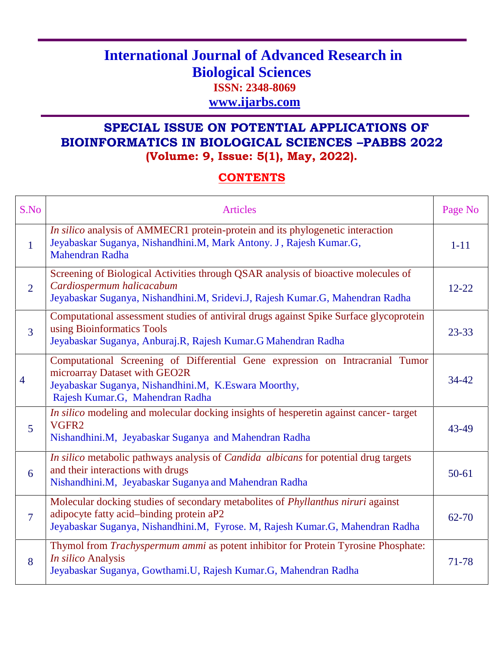## **International Journal of Advanced Research in Biological Sciences ISSN: 2348-8069 www.ijarbs.com**

## **SPECIAL ISSUE ON POTENTIAL APPLICATIONS OF BIOINFORMATICS IN BIOLOGICAL SCIENCES –PABBS 2022 (Volume: 9, Issue: 5(1), May, 2022).**

## **CONTENTS**

| S.No            | <b>Articles</b>                                                                                                                                                                                                      | Page No   |
|-----------------|----------------------------------------------------------------------------------------------------------------------------------------------------------------------------------------------------------------------|-----------|
| $\mathbf{1}$    | In silico analysis of AMMECR1 protein-protein and its phylogenetic interaction<br>Jeyabaskar Suganya, Nishandhini.M, Mark Antony. J, Rajesh Kumar.G,<br>Mahendran Radha                                              | $1 - 11$  |
| $\overline{2}$  | Screening of Biological Activities through QSAR analysis of bioactive molecules of<br>Cardiospermum halicacabum<br>Jeyabaskar Suganya, Nishandhini.M, Sridevi.J, Rajesh Kumar.G, Mahendran Radha                     | $12 - 22$ |
| $\overline{3}$  | Computational assessment studies of antiviral drugs against Spike Surface glycoprotein<br>using Bioinformatics Tools<br>Jeyabaskar Suganya, Anburaj.R, Rajesh Kumar.G Mahendran Radha                                | $23 - 33$ |
| $\overline{4}$  | Computational Screening of Differential Gene expression on Intracranial Tumor<br>microarray Dataset with GEO2R<br>Jeyabaskar Suganya, Nishandhini.M, K.Eswara Moorthy,<br>Rajesh Kumar.G, Mahendran Radha            | $34 - 42$ |
| $5\overline{)}$ | In silico modeling and molecular docking insights of hesperetin against cancer-target<br>VGFR2<br>Nishandhini.M, Jeyabaskar Suganya and Mahendran Radha                                                              | 43-49     |
| 6               | In silico metabolic pathways analysis of <i>Candida albicans</i> for potential drug targets<br>and their interactions with drugs<br>Nishandhini.M, Jeyabaskar Suganya and Mahendran Radha                            | $50-61$   |
| $\overline{7}$  | Molecular docking studies of secondary metabolites of <i>Phyllanthus niruri</i> against<br>adipocyte fatty acid-binding protein aP2<br>Jeyabaskar Suganya, Nishandhini.M, Fyrose. M, Rajesh Kumar.G, Mahendran Radha | $62 - 70$ |
| 8               | Thymol from Trachyspermum ammi as potent inhibitor for Protein Tyrosine Phosphate:<br>In silico Analysis<br>Jeyabaskar Suganya, Gowthami.U, Rajesh Kumar.G, Mahendran Radha                                          | 71-78     |